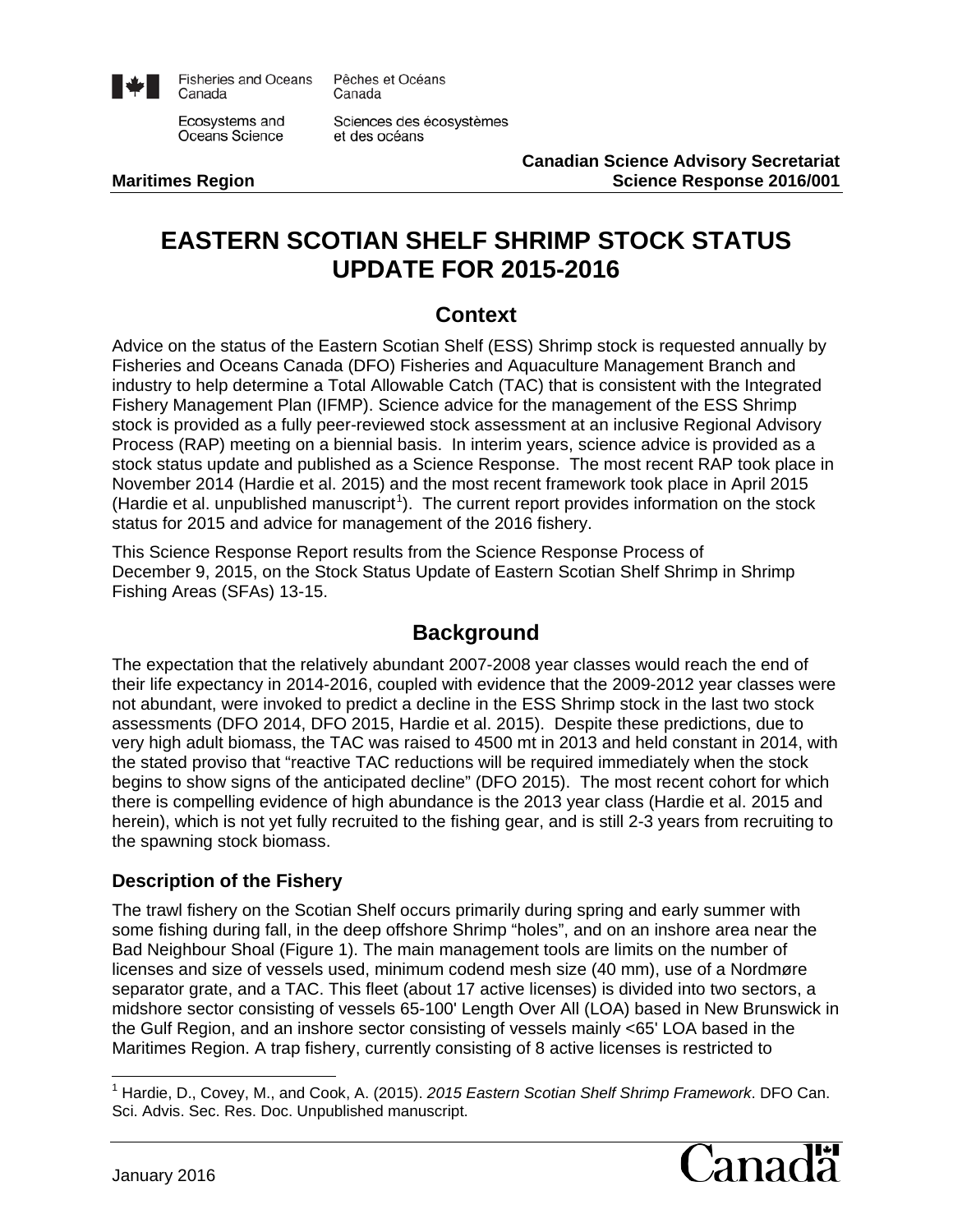

**Fisheries and Oceans** Canada

Ecosystems and Oceans Science

Canada Sciences des écosystèmes

Pêches et Océans

et des océans

**Canadian Science Advisory Secretariat Maritimes Region Science Response 2016/001**

# **EASTERN SCOTIAN SHELF SHRIMP STOCK STATUS UPDATE FOR 2015-2016**

### **Context**

Advice on the status of the Eastern Scotian Shelf (ESS) Shrimp stock is requested annually by Fisheries and Oceans Canada (DFO) Fisheries and Aquaculture Management Branch and industry to help determine a Total Allowable Catch (TAC) that is consistent with the Integrated Fishery Management Plan (IFMP). Science advice for the management of the ESS Shrimp stock is provided as a fully peer-reviewed stock assessment at an inclusive Regional Advisory Process (RAP) meeting on a biennial basis. In interim years, science advice is provided as a stock status update and published as a Science Response. The most recent RAP took place in November 2014 (Hardie et al. 2015) and the most recent framework took place in April 2015 (Hardie et al. unpublished manuscript<sup>[1](#page-0-0)</sup>). The current report provides information on the stock status for 2015 and advice for management of the 2016 fishery.

This Science Response Report results from the Science Response Process of December 9, 2015, on the Stock Status Update of Eastern Scotian Shelf Shrimp in Shrimp Fishing Areas (SFAs) 13-15.

### **Background**

The expectation that the relatively abundant 2007-2008 year classes would reach the end of their life expectancy in 2014-2016, coupled with evidence that the 2009-2012 year classes were not abundant, were invoked to predict a decline in the ESS Shrimp stock in the last two stock assessments (DFO 2014, DFO 2015, Hardie et al. 2015). Despite these predictions, due to very high adult biomass, the TAC was raised to 4500 mt in 2013 and held constant in 2014, with the stated proviso that "reactive TAC reductions will be required immediately when the stock begins to show signs of the anticipated decline" (DFO 2015). The most recent cohort for which there is compelling evidence of high abundance is the 2013 year class (Hardie et al. 2015 and herein), which is not yet fully recruited to the fishing gear, and is still 2-3 years from recruiting to the spawning stock biomass.

#### **Description of the Fishery**

The trawl fishery on the Scotian Shelf occurs primarily during spring and early summer with some fishing during fall, in the deep offshore Shrimp "holes", and on an inshore area near the Bad Neighbour Shoal (Figure 1). The main management tools are limits on the number of licenses and size of vessels used, minimum codend mesh size (40 mm), use of a Nordmøre separator grate, and a TAC. This fleet (about 17 active licenses) is divided into two sectors, a midshore sector consisting of vessels 65-100' Length Over All (LOA) based in New Brunswick in the Gulf Region, and an inshore sector consisting of vessels mainly <65' LOA based in the Maritimes Region. A trap fishery, currently consisting of 8 active licenses is restricted to

<span id="page-0-0"></span> <sup>1</sup> Hardie, D., Covey, M., and Cook, A. (2015). *2015 Eastern Scotian Shelf Shrimp Framework*. DFO Can. Sci. Advis. Sec. Res. Doc. Unpublished manuscript.

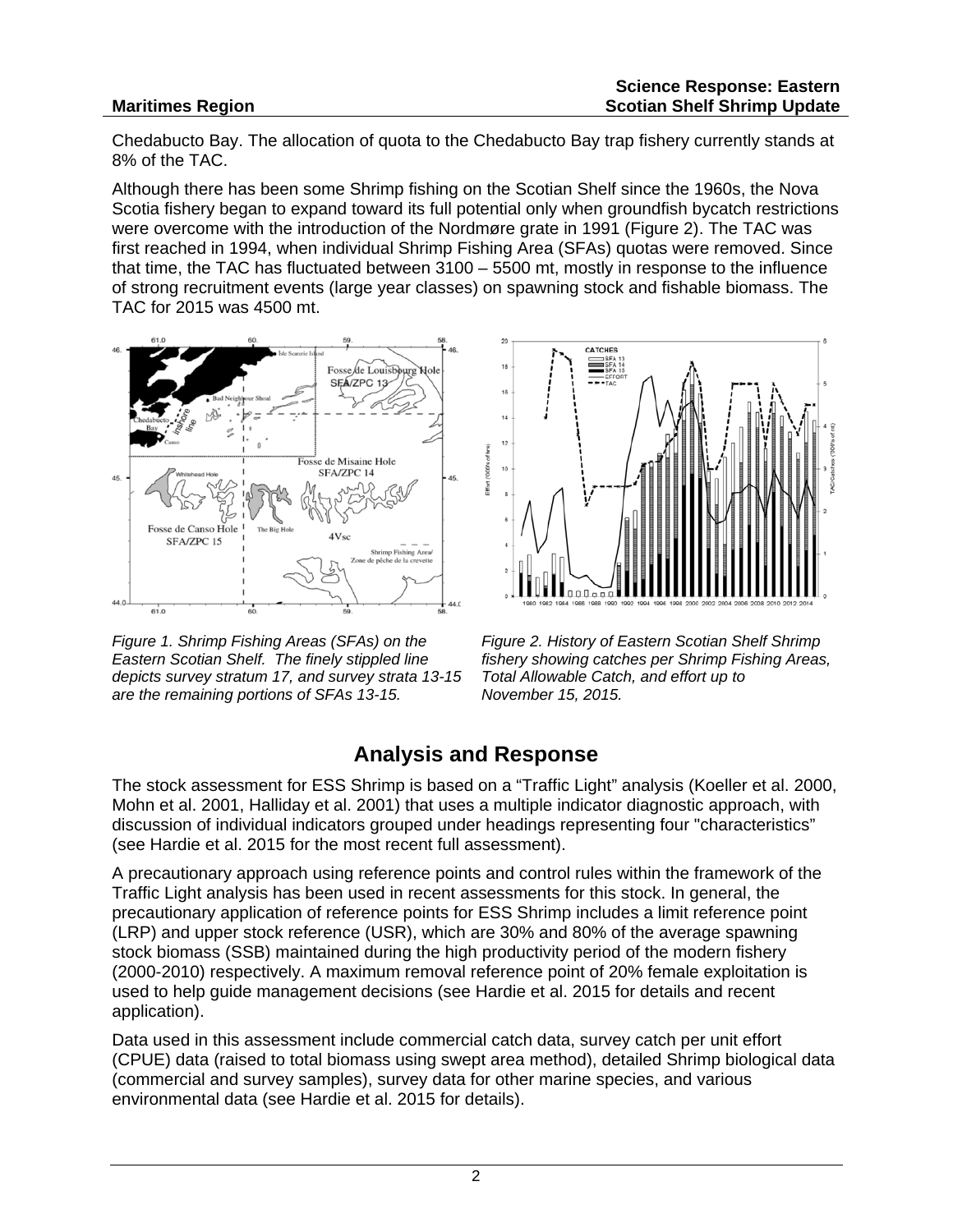#### **Maritimes Region**

Chedabucto Bay. The allocation of quota to the Chedabucto Bay trap fishery currently stands at 8% of the TAC.

Although there has been some Shrimp fishing on the Scotian Shelf since the 1960s, the Nova Scotia fishery began to expand toward its full potential only when groundfish bycatch restrictions were overcome with the introduction of the Nordmøre grate in 1991 (Figure 2). The TAC was first reached in 1994, when individual Shrimp Fishing Area (SFAs) quotas were removed. Since that time, the TAC has fluctuated between 3100 – 5500 mt, mostly in response to the influence of strong recruitment events (large year classes) on spawning stock and fishable biomass. The TAC for 2015 was 4500 mt.



*Figure 1. Shrimp Fishing Areas (SFAs) on the Eastern Scotian Shelf. The finely stippled line depicts survey stratum 17, and survey strata 13-15 are the remaining portions of SFAs 13-15.*



*Figure 2. History of Eastern Scotian Shelf Shrimp fishery showing catches per Shrimp Fishing Areas, Total Allowable Catch, and effort up to November 15, 2015.*

## **Analysis and Response**

The stock assessment for ESS Shrimp is based on a "Traffic Light" analysis (Koeller et al. 2000, Mohn et al. 2001, Halliday et al. 2001) that uses a multiple indicator diagnostic approach, with discussion of individual indicators grouped under headings representing four "characteristics" (see Hardie et al. 2015 for the most recent full assessment).

A precautionary approach using reference points and control rules within the framework of the Traffic Light analysis has been used in recent assessments for this stock. In general, the precautionary application of reference points for ESS Shrimp includes a limit reference point (LRP) and upper stock reference (USR), which are 30% and 80% of the average spawning stock biomass (SSB) maintained during the high productivity period of the modern fishery (2000-2010) respectively. A maximum removal reference point of 20% female exploitation is used to help guide management decisions (see Hardie et al. 2015 for details and recent application).

Data used in this assessment include commercial catch data, survey catch per unit effort (CPUE) data (raised to total biomass using swept area method), detailed Shrimp biological data (commercial and survey samples), survey data for other marine species, and various environmental data (see Hardie et al. 2015 for details).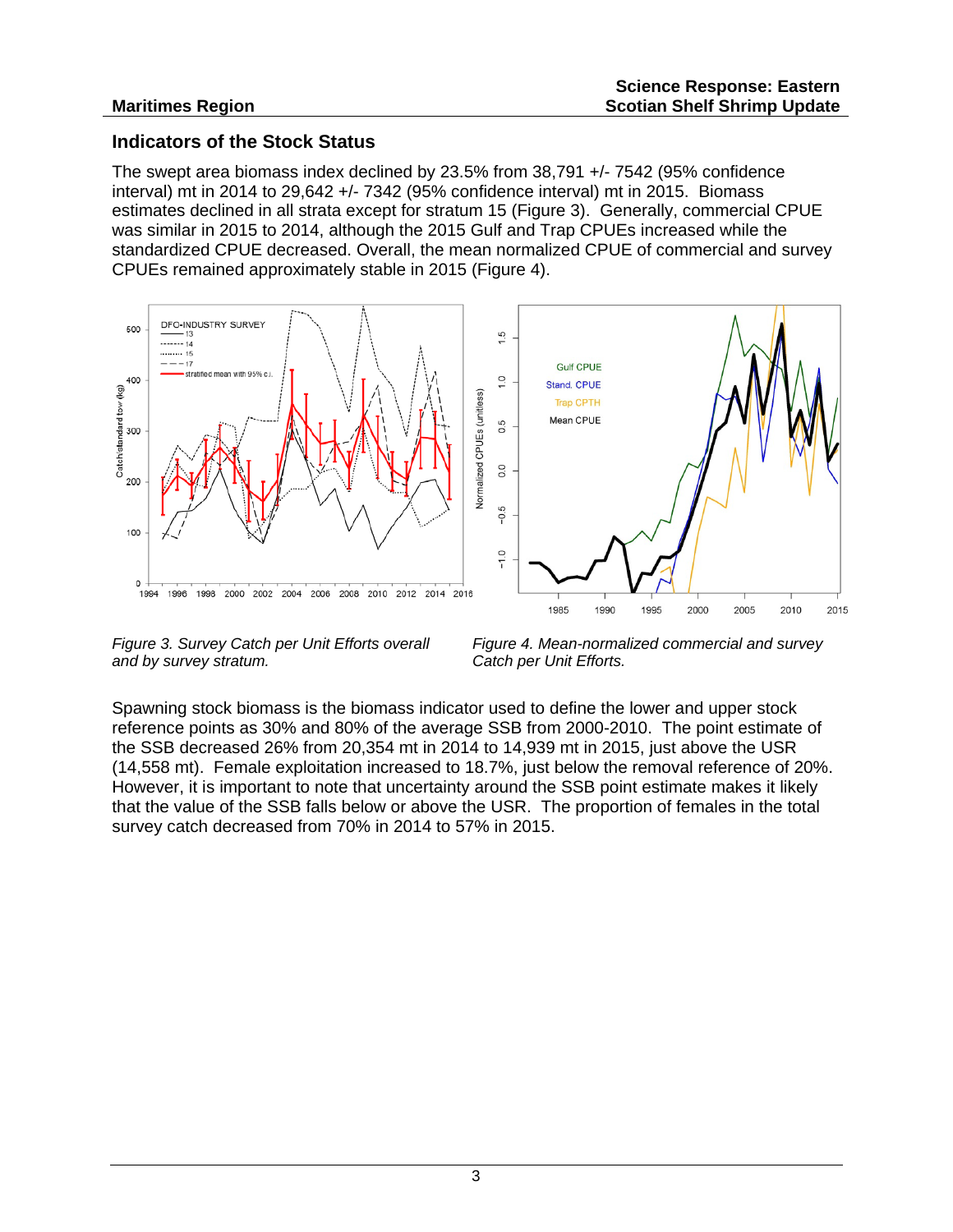#### **Indicators of the Stock Status**

The swept area biomass index declined by 23.5% from 38,791 +/- 7542 (95% confidence interval) mt in 2014 to 29,642 +/- 7342 (95% confidence interval) mt in 2015. Biomass estimates declined in all strata except for stratum 15 (Figure 3). Generally, commercial CPUE was similar in 2015 to 2014, although the 2015 Gulf and Trap CPUEs increased while the standardized CPUE decreased. Overall, the mean normalized CPUE of commercial and survey CPUEs remained approximately stable in 2015 (Figure 4).



*Figure 3. Survey Catch per Unit Efforts overall and by survey stratum.*

*Figure 4. Mean-normalized commercial and survey Catch per Unit Efforts.*

Spawning stock biomass is the biomass indicator used to define the lower and upper stock reference points as 30% and 80% of the average SSB from 2000-2010. The point estimate of the SSB decreased 26% from 20,354 mt in 2014 to 14,939 mt in 2015, just above the USR (14,558 mt). Female exploitation increased to 18.7%, just below the removal reference of 20%. However, it is important to note that uncertainty around the SSB point estimate makes it likely that the value of the SSB falls below or above the USR. The proportion of females in the total survey catch decreased from 70% in 2014 to 57% in 2015.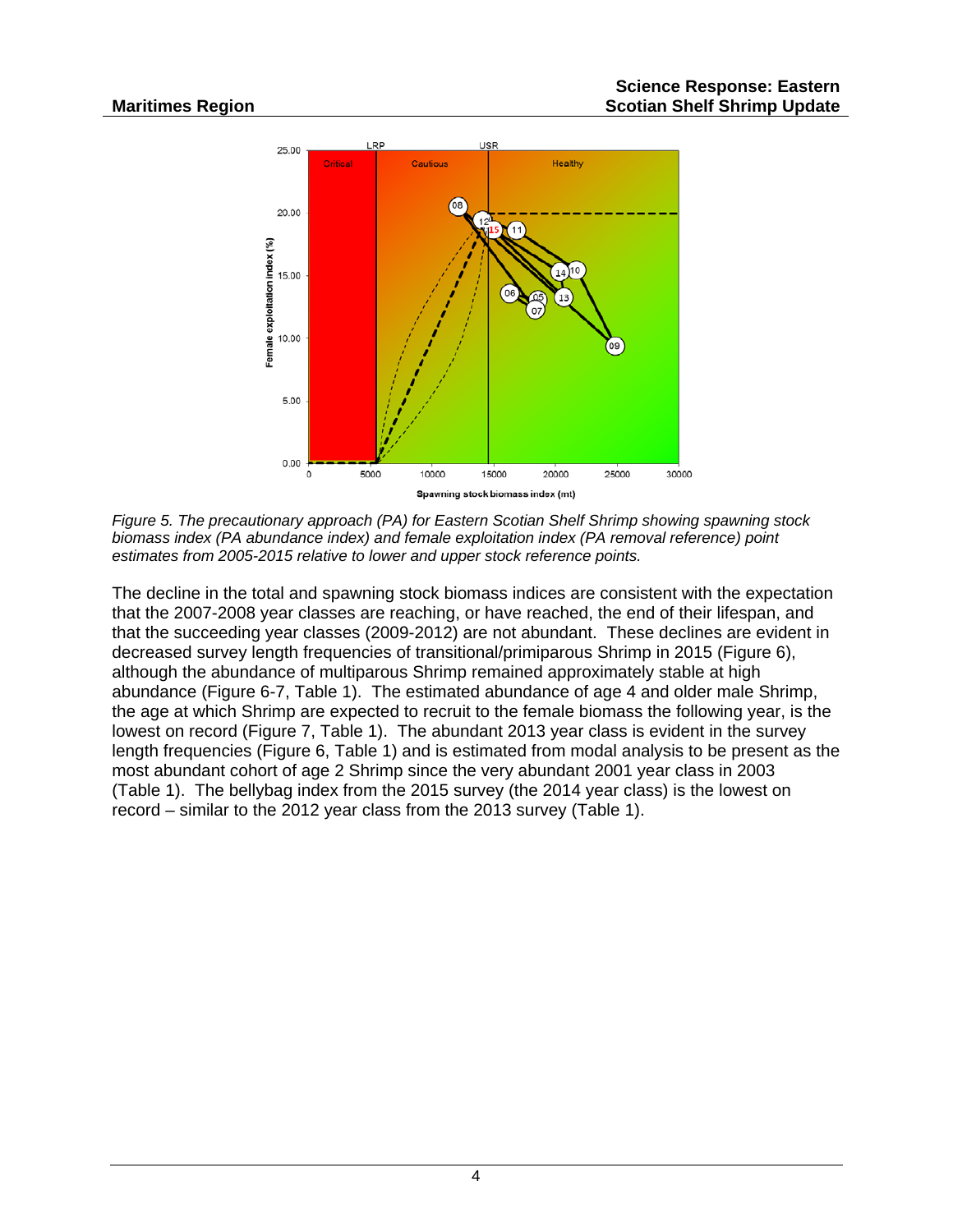

*Figure 5. The precautionary approach (PA) for Eastern Scotian Shelf Shrimp showing spawning stock biomass index (PA abundance index) and female exploitation index (PA removal reference) point estimates from 2005-2015 relative to lower and upper stock reference points.* 

The decline in the total and spawning stock biomass indices are consistent with the expectation that the 2007-2008 year classes are reaching, or have reached, the end of their lifespan, and that the succeeding year classes (2009-2012) are not abundant. These declines are evident in decreased survey length frequencies of transitional/primiparous Shrimp in 2015 (Figure 6), although the abundance of multiparous Shrimp remained approximately stable at high abundance (Figure 6-7, Table 1). The estimated abundance of age 4 and older male Shrimp, the age at which Shrimp are expected to recruit to the female biomass the following year, is the lowest on record (Figure 7, Table 1). The abundant 2013 year class is evident in the survey length frequencies (Figure 6, Table 1) and is estimated from modal analysis to be present as the most abundant cohort of age 2 Shrimp since the very abundant 2001 year class in 2003 (Table 1). The bellybag index from the 2015 survey (the 2014 year class) is the lowest on record – similar to the 2012 year class from the 2013 survey (Table 1).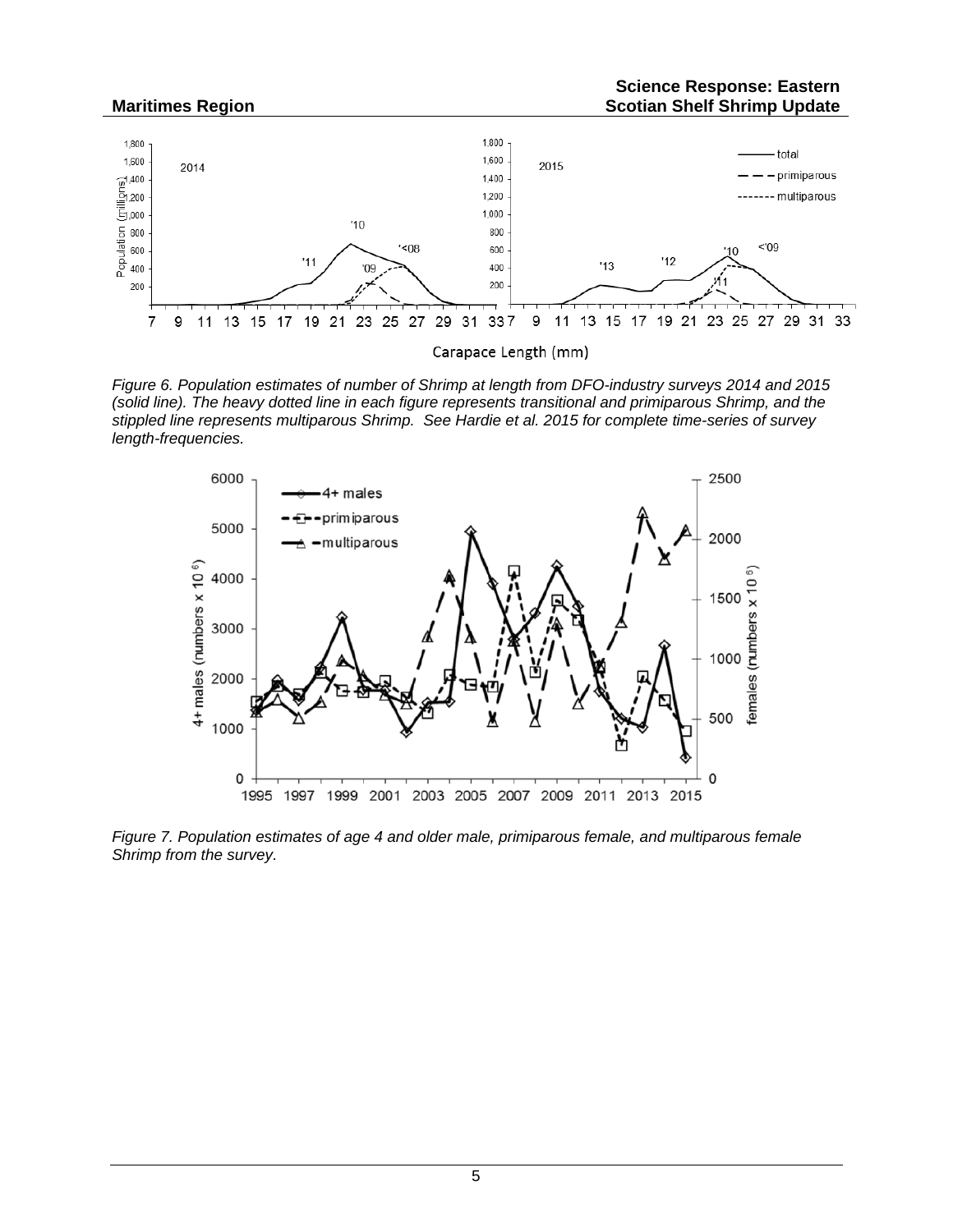

*Figure 6. Population estimates of number of Shrimp at length from DFO-industry surveys 2014 and 2015 (solid line). The heavy dotted line in each figure represents transitional and primiparous Shrimp, and the stippled line represents multiparous Shrimp. See Hardie et al. 2015 for complete time-series of survey length-frequencies.*



*Figure 7. Population estimates of age 4 and older male, primiparous female, and multiparous female Shrimp from the survey.*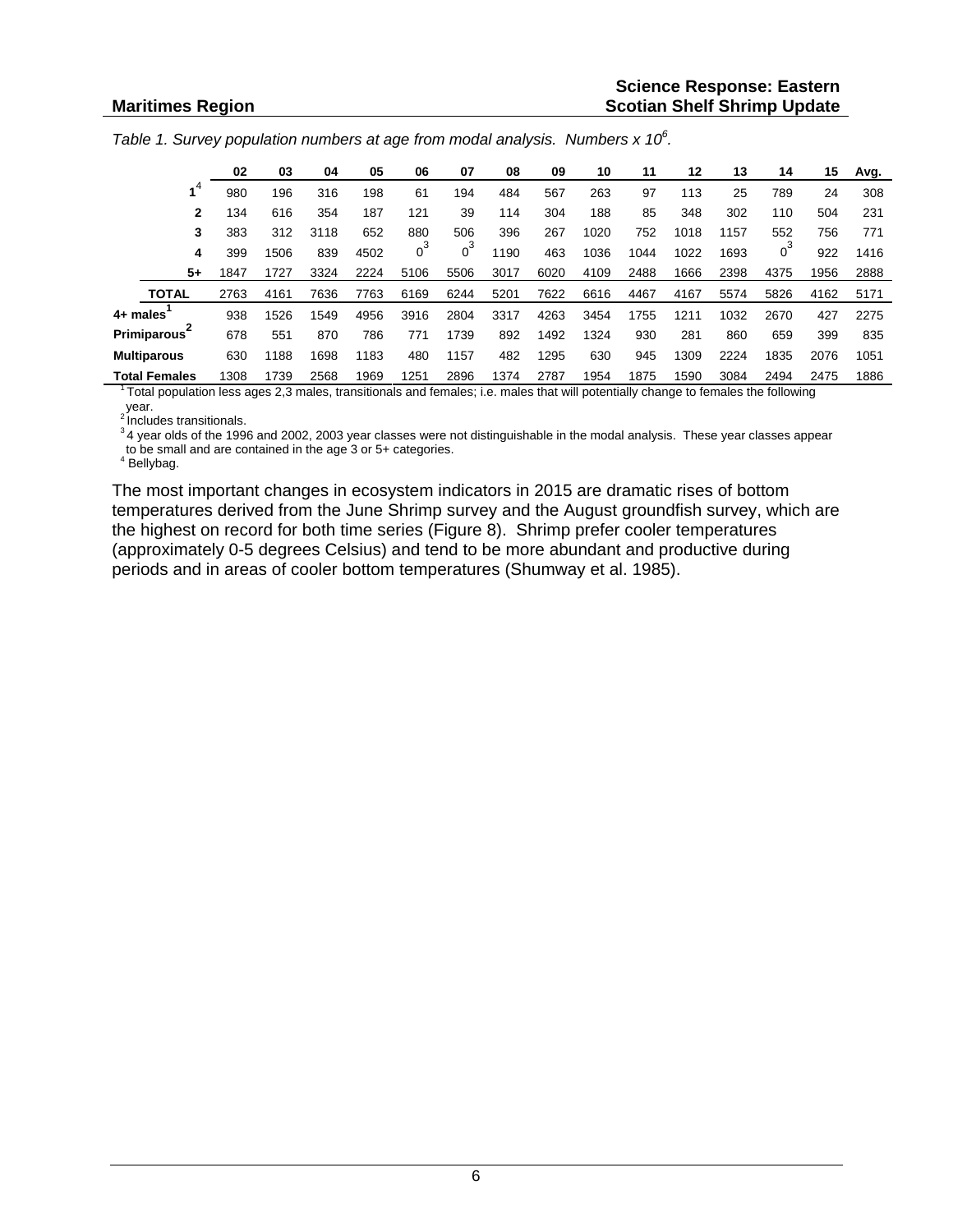|  |  | Table 1. Survey population numbers at age from modal analysis. Numbers $x$ 10 <sup>6</sup> . |  |  |
|--|--|----------------------------------------------------------------------------------------------|--|--|
|--|--|----------------------------------------------------------------------------------------------|--|--|

|          |                      | 02   | 03   | 04   | 05   | 06   | 07    | 08   | 09   | 10   | 11   | 12   | 13   | 14    | 15   | Avg. |
|----------|----------------------|------|------|------|------|------|-------|------|------|------|------|------|------|-------|------|------|
|          |                      | 980  | 196  | 316  | 198  | 61   | 194   | 484  | 567  | 263  | 97   | 113  | 25   | 789   | 24   | 308  |
|          | $\mathbf{2}$         | 134  | 616  | 354  | 187  | 121  | 39    | 114  | 304  | 188  | 85   | 348  | 302  | 110   | 504  | 231  |
|          | 3                    | 383  | 312  | 3118 | 652  | 880  | 506   | 396  | 267  | 1020 | 752  | 1018 | 1157 | 552   | 756  | 771  |
|          | 4                    | 399  | 1506 | 839  | 4502 |      | $0^3$ | 1190 | 463  | 1036 | 1044 | 1022 | 1693 | $0^3$ | 922  | 1416 |
|          | 5+                   | 1847 | 1727 | 3324 | 2224 | 5106 | 5506  | 3017 | 6020 | 4109 | 2488 | 1666 | 2398 | 4375  | 1956 | 2888 |
|          | <b>TOTAL</b>         | 2763 | 4161 | 7636 | 7763 | 6169 | 6244  | 5201 | 7622 | 6616 | 4467 | 4167 | 5574 | 5826  | 4162 | 5171 |
| 4+ males |                      | 938  | 1526 | 1549 | 4956 | 3916 | 2804  | 3317 | 4263 | 3454 | 1755 | 1211 | 1032 | 2670  | 427  | 2275 |
|          | <b>Primiparous</b>   | 678  | 551  | 870  | 786  | 771  | 1739  | 892  | 1492 | 1324 | 930  | 281  | 860  | 659   | 399  | 835  |
|          | <b>Multiparous</b>   | 630  | 1188 | 1698 | 1183 | 480  | 1157  | 482  | 1295 | 630  | 945  | 309  | 2224 | 1835  | 2076 | 1051 |
|          | <b>Total Females</b> | 1308 | 1739 | 2568 | 1969 | 1251 | 2896  | 1374 | 2787 | 1954 | 1875 | 1590 | 3084 | 2494  | 2475 | 1886 |

<sup>1</sup> Total population less ages 2,3 males, transitionals and females; i.e. males that will potentially change to females the following year.<br>
<sup>2</sup> Includes transitionals.

ancludes transitionals.<br><sup>3</sup>4 year olds of the 1996 and 2002, 2003 year classes were not distinguishable in the modal analysis. These year classes appear to be small and are contained in the age 3 or 5+ categories. <sup>4</sup> Bellybag.

The most important changes in ecosystem indicators in 2015 are dramatic rises of bottom temperatures derived from the June Shrimp survey and the August groundfish survey, which are the highest on record for both time series (Figure 8). Shrimp prefer cooler temperatures (approximately 0-5 degrees Celsius) and tend to be more abundant and productive during periods and in areas of cooler bottom temperatures (Shumway et al. 1985).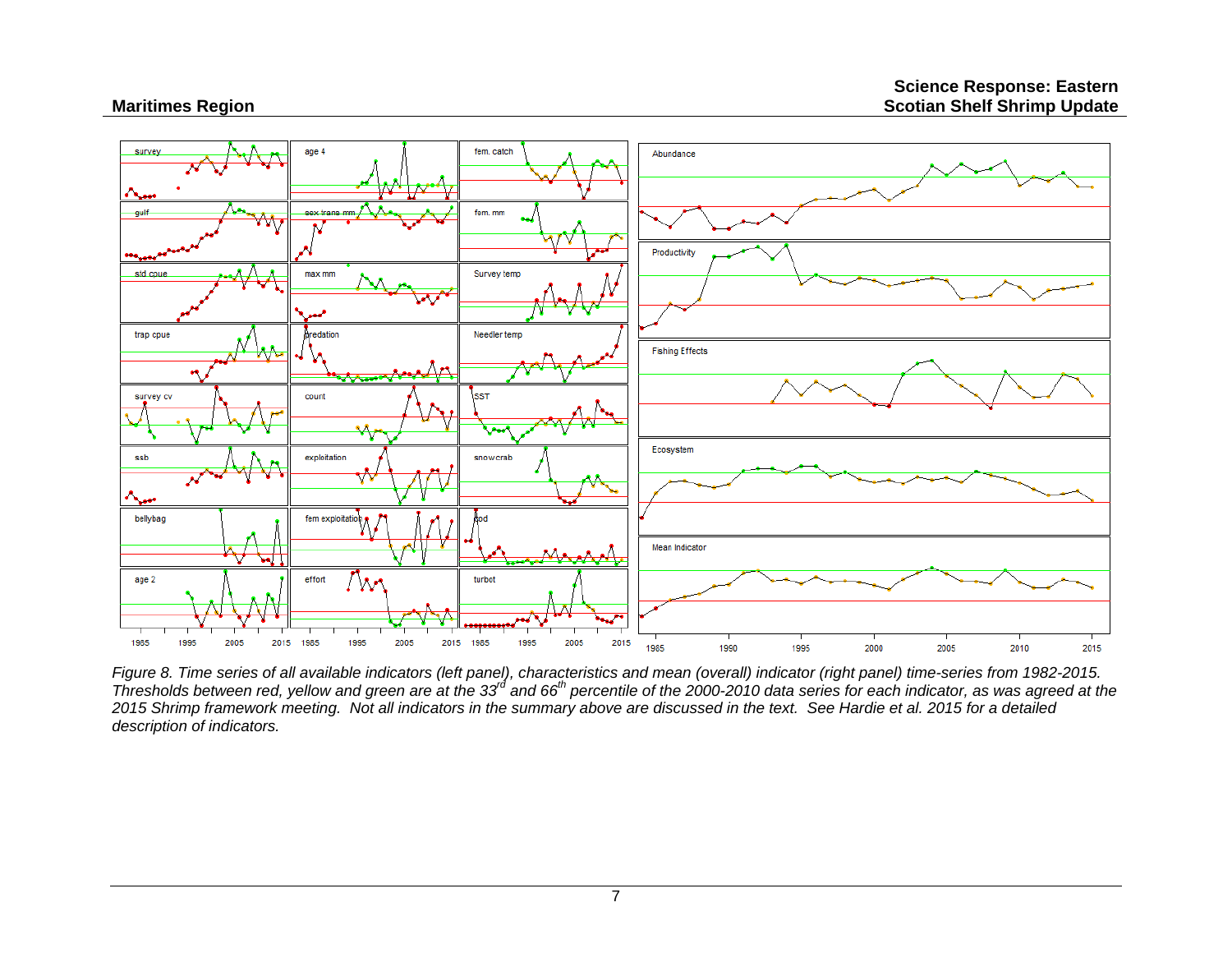

*Figure 8. Time series of all available indicators (left panel), characteristics and mean (overall) indicator (right panel) time-series from 1982-2015. Thresholds between red, yellow and green are at the 33rd and 66th percentile of the 2000-2010 data series for each indicator, as was agreed at the 2015 Shrimp framework meeting. Not all indicators in the summary above are discussed in the text. See Hardie et al. 2015 for a detailed description of indicators.*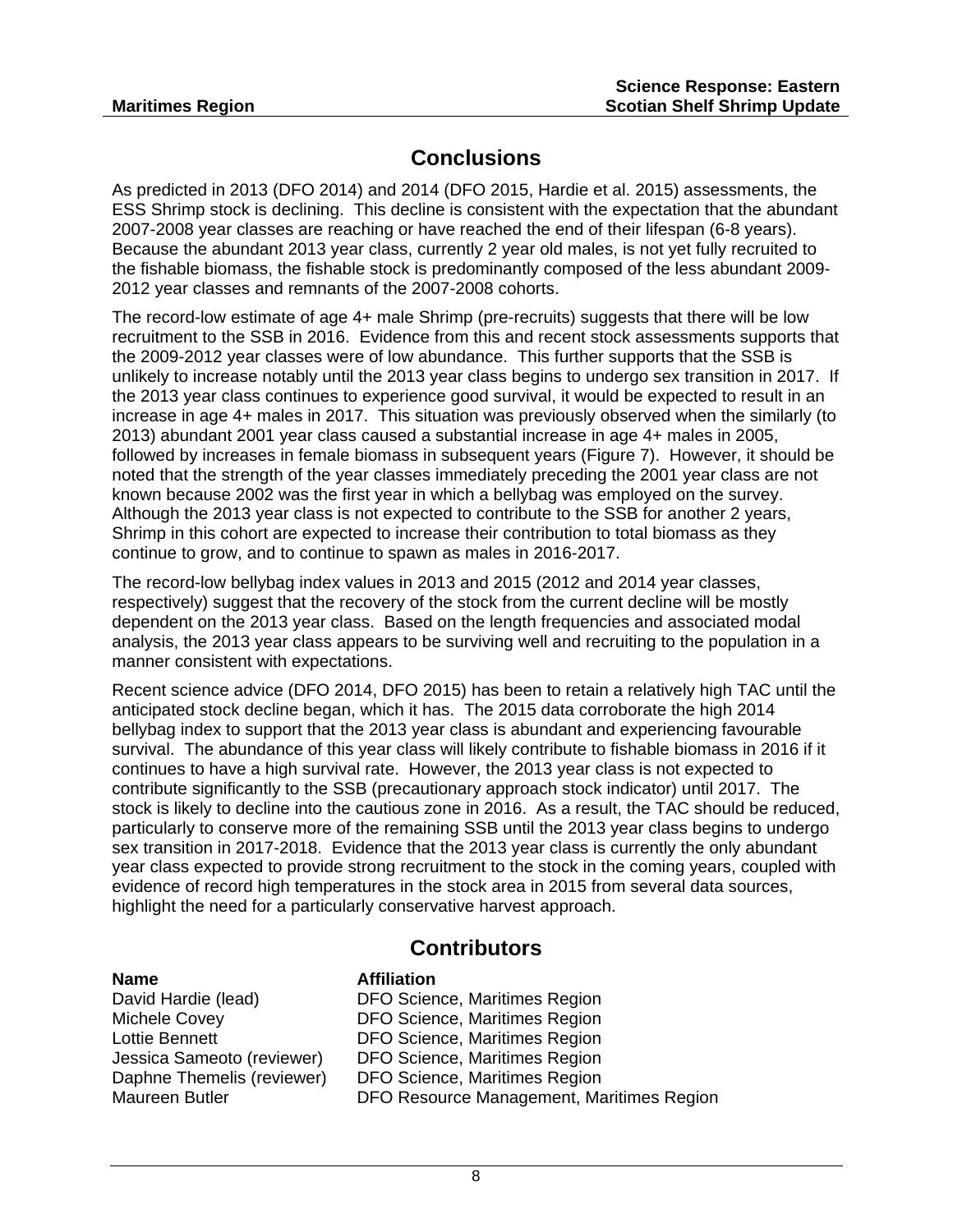### **Conclusions**

As predicted in 2013 (DFO 2014) and 2014 (DFO 2015, Hardie et al. 2015) assessments, the ESS Shrimp stock is declining. This decline is consistent with the expectation that the abundant 2007-2008 year classes are reaching or have reached the end of their lifespan (6-8 years). Because the abundant 2013 year class, currently 2 year old males, is not yet fully recruited to the fishable biomass, the fishable stock is predominantly composed of the less abundant 2009- 2012 year classes and remnants of the 2007-2008 cohorts.

The record-low estimate of age 4+ male Shrimp (pre-recruits) suggests that there will be low recruitment to the SSB in 2016. Evidence from this and recent stock assessments supports that the 2009-2012 year classes were of low abundance. This further supports that the SSB is unlikely to increase notably until the 2013 year class begins to undergo sex transition in 2017. If the 2013 year class continues to experience good survival, it would be expected to result in an increase in age 4+ males in 2017. This situation was previously observed when the similarly (to 2013) abundant 2001 year class caused a substantial increase in age 4+ males in 2005, followed by increases in female biomass in subsequent years (Figure 7). However, it should be noted that the strength of the year classes immediately preceding the 2001 year class are not known because 2002 was the first year in which a bellybag was employed on the survey. Although the 2013 year class is not expected to contribute to the SSB for another 2 years, Shrimp in this cohort are expected to increase their contribution to total biomass as they continue to grow, and to continue to spawn as males in 2016-2017.

The record-low bellybag index values in 2013 and 2015 (2012 and 2014 year classes, respectively) suggest that the recovery of the stock from the current decline will be mostly dependent on the 2013 year class. Based on the length frequencies and associated modal analysis, the 2013 year class appears to be surviving well and recruiting to the population in a manner consistent with expectations.

Recent science advice (DFO 2014, DFO 2015) has been to retain a relatively high TAC until the anticipated stock decline began, which it has. The 2015 data corroborate the high 2014 bellybag index to support that the 2013 year class is abundant and experiencing favourable survival. The abundance of this year class will likely contribute to fishable biomass in 2016 if it continues to have a high survival rate. However, the 2013 year class is not expected to contribute significantly to the SSB (precautionary approach stock indicator) until 2017. The stock is likely to decline into the cautious zone in 2016. As a result, the TAC should be reduced, particularly to conserve more of the remaining SSB until the 2013 year class begins to undergo sex transition in 2017-2018. Evidence that the 2013 year class is currently the only abundant year class expected to provide strong recruitment to the stock in the coming years, coupled with evidence of record high temperatures in the stock area in 2015 from several data sources, highlight the need for a particularly conservative harvest approach.

### **Contributors**

| <b>Name</b>                | <b>Affiliation</b> |
|----------------------------|--------------------|
| David Hardie (lead)        | <b>DFO</b> Scien   |
| Michele Covey              | <b>DFO</b> Scien   |
| Lottie Bennett             | <b>DFO</b> Scien   |
| Jessica Sameoto (reviewer) | <b>DFO</b> Scien   |
| Daphne Themelis (reviewer) | <b>DFO Scien</b>   |
| Maureen Butler             | <b>DFO Reso</b>    |

DFO Science, Maritimes Region DFO Science, Maritimes Region DFO Science, Maritimes Region DFO Science, Maritimes Region DFO Science, Maritimes Region DFO Resource Management, Maritimes Region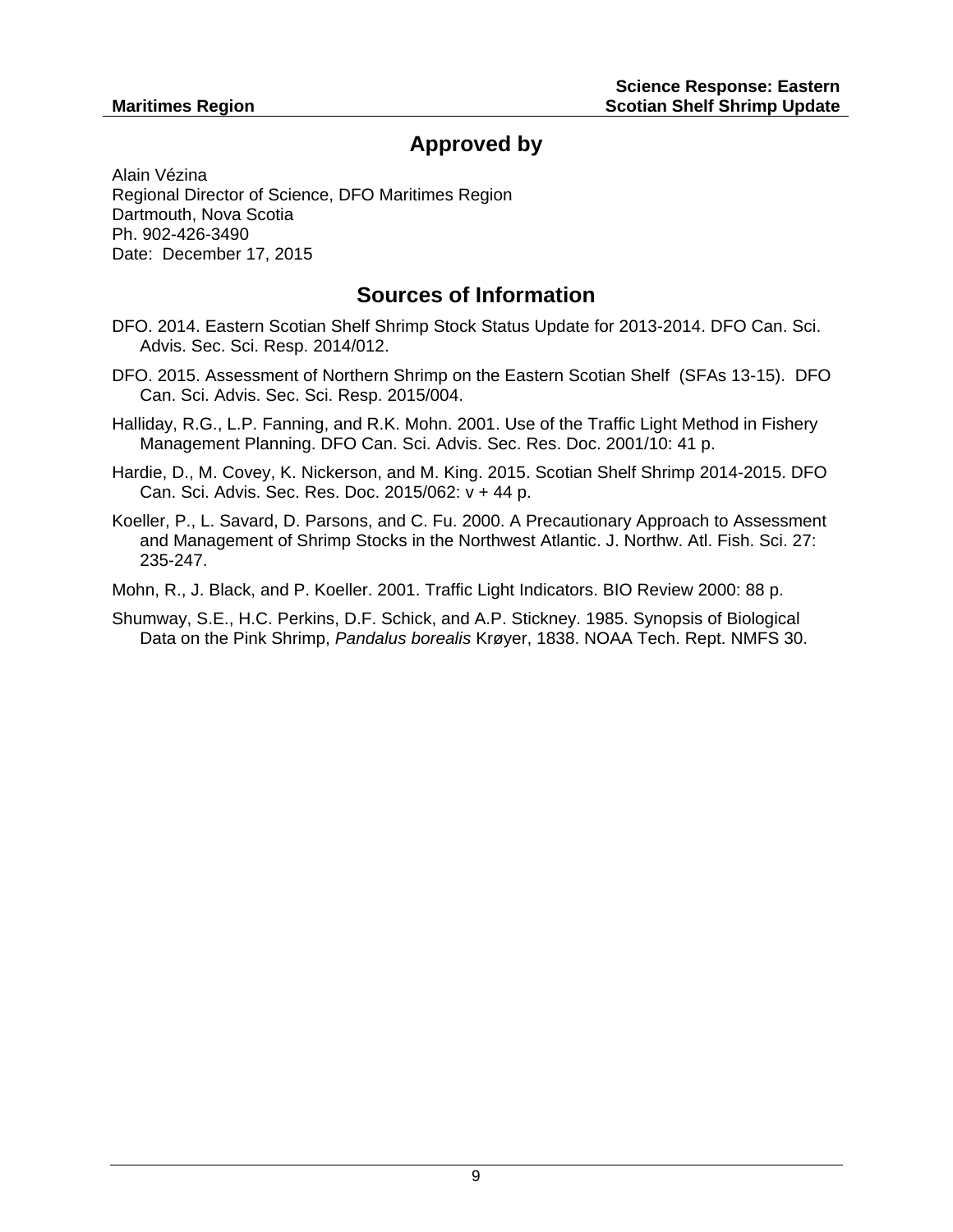### **Approved by**

Alain Vézina Regional Director of Science, DFO Maritimes Region Dartmouth, Nova Scotia Ph. 902-426-3490 Date: December 17, 2015

### **Sources of Information**

- DFO. 2014. Eastern Scotian Shelf Shrimp Stock Status Update for 2013-2014. DFO Can. Sci. Advis. Sec. Sci. Resp. 2014/012.
- DFO. 2015. Assessment of Northern Shrimp on the Eastern Scotian Shelf (SFAs 13-15). DFO Can. Sci. Advis. Sec. Sci. Resp. 2015/004.
- Halliday, R.G., L.P. Fanning, and R.K. Mohn. 2001. Use of the Traffic Light Method in Fishery Management Planning. DFO Can. Sci. Advis. Sec. Res. Doc. 2001/10: 41 p.
- Hardie, D., M. Covey, K. Nickerson, and M. King. 2015. Scotian Shelf Shrimp 2014-2015. DFO Can. Sci. Advis. Sec. Res. Doc. 2015/062: v + 44 p.
- Koeller, P., L. Savard, D. Parsons, and C. Fu. 2000. A Precautionary Approach to Assessment and Management of Shrimp Stocks in the Northwest Atlantic. J. Northw. Atl. Fish. Sci. 27: 235-247.
- Mohn, R., J. Black, and P. Koeller. 2001. Traffic Light Indicators. BIO Review 2000: 88 p.
- Shumway, S.E., H.C. Perkins, D.F. Schick, and A.P. Stickney. 1985. Synopsis of Biological Data on the Pink Shrimp, *Pandalus borealis* Krøyer, 1838. NOAA Tech. Rept. NMFS 30.